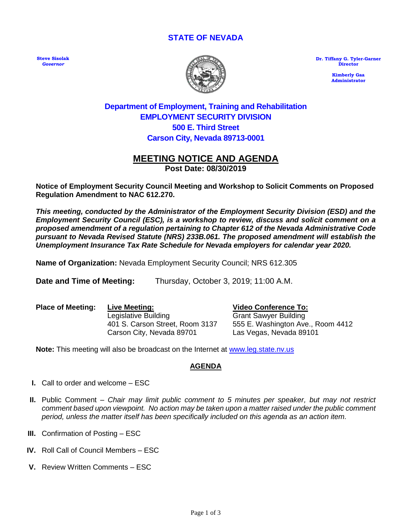#### **STATE OF NEVADA**

**Steve Sisolak**  *Governor*



**Dr. Tiffany G. Tyler-Garner Director**

> **Kimberly Gaa Administrator**

# **Department of Employment, Training and Rehabilitation EMPLOYMENT SECURITY DIVISION 500 E. Third Street Carson City, Nevada 89713-0001**

## **MEETING NOTICE AND AGENDA Post Date: 08/30/2019**

**Notice of Employment Security Council Meeting and Workshop to Solicit Comments on Proposed Regulation Amendment to NAC 612.270.** 

*This meeting, conducted by the Administrator of the Employment Security Division (ESD) and the Employment Security Council (ESC), is a workshop to review, discuss and solicit comment on a proposed amendment of a regulation pertaining to Chapter 612 of the Nevada Administrative Code pursuant to Nevada Revised Statute (NRS) 233B.061. The proposed amendment will establish the Unemployment Insurance Tax Rate Schedule for Nevada employers for calendar year 2020.*

**Name of Organization:** Nevada Employment Security Council; NRS 612.305

**Date and Time of Meeting:** Thursday, October 3, 2019; 11:00 A.M.

**Place of Meeting: Live Meeting:** Legislative Building 401 S. Carson Street, Room 3137 Carson City, Nevada 89701

**Video Conference To:**

Grant Sawyer Building 555 E. Washington Ave., Room 4412 Las Vegas, Nevada 89101

**Note:** This meeting will also be broadcast on the Internet at www.leg.state.nv.us

### **AGENDA**

- **I.** Call to order and welcome ESC
- **II.** Public Comment *Chair may limit public comment to 5 minutes per speaker, but may not restrict comment based upon viewpoint. No action may be taken upon a matter raised under the public comment period, unless the matter itself has been specifically included on this agenda as an action item.*
- **III.** Confirmation of Posting ESC
- **IV.** Roll Call of Council Members ESC
- **V.** Review Written Comments ESC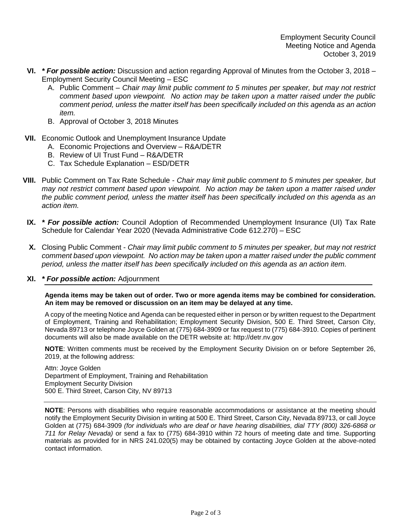- **VI.** *\* For possible action:* Discussion and action regarding Approval of Minutes from the October 3, 2018 Employment Security Council Meeting – ESC
	- A. Public Comment *Chair may limit public comment to 5 minutes per speaker, but may not restrict comment based upon viewpoint. No action may be taken upon a matter raised under the public comment period, unless the matter itself has been specifically included on this agenda as an action item.*
	- B. Approval of October 3, 2018 Minutes
- **VII.** Economic Outlook and Unemployment Insurance Update
	- A. Economic Projections and Overview R&A/DETR
	- B. Review of UI Trust Fund R&A/DETR
	- C. Tax Schedule Explanation ESD/DETR
- **VIII.** Public Comment on Tax Rate Schedule *Chair may limit public comment to 5 minutes per speaker, but may not restrict comment based upon viewpoint. No action may be taken upon a matter raised under the public comment period, unless the matter itself has been specifically included on this agenda as an action item.*
	- **IX.** *\* For possible action:* Council Adoption of Recommended Unemployment Insurance (UI) Tax Rate Schedule for Calendar Year 2020 (Nevada Administrative Code 612.270) – ESC
	- **X.** Closing Public Comment *Chair may limit public comment to 5 minutes per speaker, but may not restrict comment based upon viewpoint. No action may be taken upon a matter raised under the public comment period, unless the matter itself has been specifically included on this agenda as an action item.*

#### **XI.** *\* For possible action:* Adjournment

**Agenda items may be taken out of order. Two or more agenda items may be combined for consideration. An item may be removed or discussion on an item may be delayed at any time.**

A copy of the meeting Notice and Agenda can be requested either in person or by written request to the Department of Employment, Training and Rehabilitation; Employment Security Division, 500 E. Third Street, Carson City, Nevada 89713 or telephone Joyce Golden at (775) 684-3909 or fax request to (775) 684-3910. Copies of pertinent documents will also be made available on the DETR website at: http://detr.nv.gov

**NOTE**: Written comments must be received by the Employment Security Division on or before September 26, 2019, at the following address:

Attn: Joyce Golden Department of Employment, Training and Rehabilitation Employment Security Division 500 E. Third Street, Carson City, NV 89713

**NOTE**: Persons with disabilities who require reasonable accommodations or assistance at the meeting should notify the Employment Security Division in writing at 500 E. Third Street, Carson City, Nevada 89713, or call Joyce Golden at (775) 684-3909 *(for individuals who are deaf or have hearing disabilities, dial TTY (800) 326-6868 or 711 for Relay Nevada)* or send a fax to (775) 684-3910 within 72 hours of meeting date and time. Supporting materials as provided for in NRS 241.020(5) may be obtained by contacting Joyce Golden at the above-noted contact information.